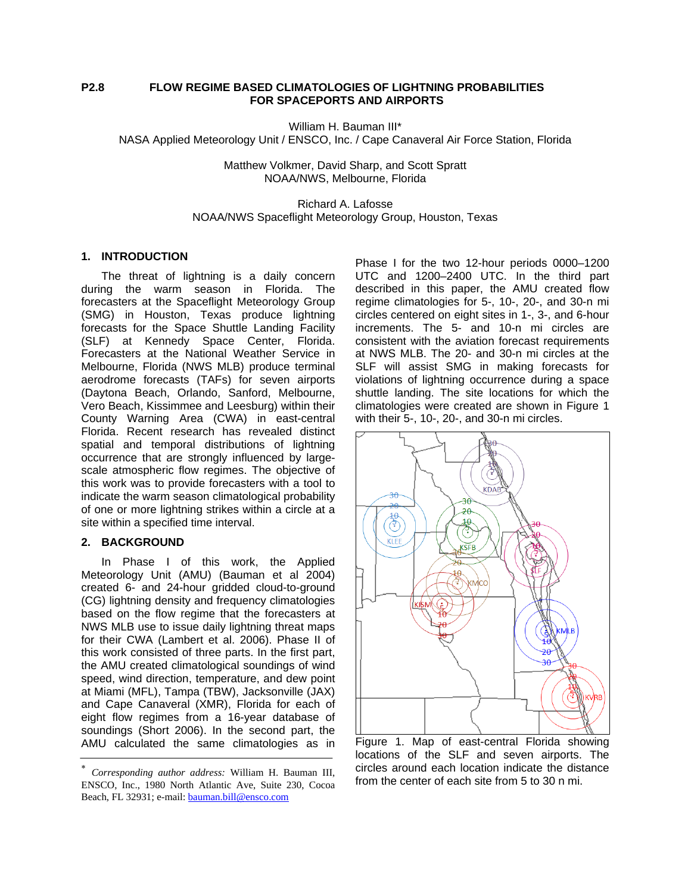## **P2.8 FLOW REGIME BASED CLIMATOLOGIES OF LIGHTNING PROBABILITIES FOR SPACEPORTS AND AIRPORTS**

William H. Bauman III\* NASA Applied Meteorology Unit / ENSCO, Inc. / Cape Canaveral Air Force Station, Florida

> Matthew Volkmer, David Sharp, and Scott Spratt NOAA/NWS, Melbourne, Florida

# Richard A. Lafosse NOAA/NWS Spaceflight Meteorology Group, Houston, Texas

### **1. INTRODUCTION**

The threat of lightning is a daily concern during the warm season in Florida. The forecasters at the Spaceflight Meteorology Group (SMG) in Houston, Texas produce lightning forecasts for the Space Shuttle Landing Facility (SLF) at Kennedy Space Center, Florida. Forecasters at the National Weather Service in Melbourne, Florida (NWS MLB) produce terminal aerodrome forecasts (TAFs) for seven airports (Daytona Beach, Orlando, Sanford, Melbourne, Vero Beach, Kissimmee and Leesburg) within their County Warning Area (CWA) in east-central Florida. Recent research has revealed distinct spatial and temporal distributions of lightning occurrence that are strongly influenced by largescale atmospheric flow regimes. The objective of this work was to provide forecasters with a tool to indicate the warm season climatological probability of one or more lightning strikes within a circle at a site within a specified time interval.

#### **2. BACKGROUND**

In Phase I of this work, the Applied Meteorology Unit (AMU) (Bauman et al 2004) created 6- and 24-hour gridded cloud-to-ground (CG) lightning density and frequency climatologies based on the flow regime that the forecasters at NWS MLB use to issue daily lightning threat maps for their CWA (Lambert et al. 2006). Phase II of this work consisted of three parts. In the first part, the AMU created climatological soundings of wind speed, wind direction, temperature, and dew point at Miami (MFL), Tampa (TBW), Jacksonville (JAX) and Cape Canaveral (XMR), Florida for each of eight flow regimes from a 16-year database of soundings (Short 2006). In the second part, the AMU calculated the same climatologies as in

Phase I for the two 12-hour periods 0000–1200 UTC and 1200–2400 UTC. In the third part described in this paper, the AMU created flow regime climatologies for 5-, 10-, 20-, and 30-n mi circles centered on eight sites in 1-, 3-, and 6-hour increments. The 5- and 10-n mi circles are consistent with the aviation forecast requirements at NWS MLB. The 20- and 30-n mi circles at the SLF will assist SMG in making forecasts for violations of lightning occurrence during a space shuttle landing. The site locations for which the climatologies were created are shown in [Figure 1](#page-0-0) with their 5-, 10-, 20-, and 30-n mi circles.



Figure 1. Map of east-central Florida showing locations of the SLF and seven airports. The circles around each location indicate the distance from the center of each site from 5 to 30 n mi.

<span id="page-0-0"></span><sup>∗</sup> *Corresponding author address:* William H. Bauman III, ENSCO, Inc., 1980 North Atlantic Ave, Suite 230, Cocoa Beach, FL 32931; e-mail: [bauman.bill@ensco.com](mailto:bauman.bill@ensco.com)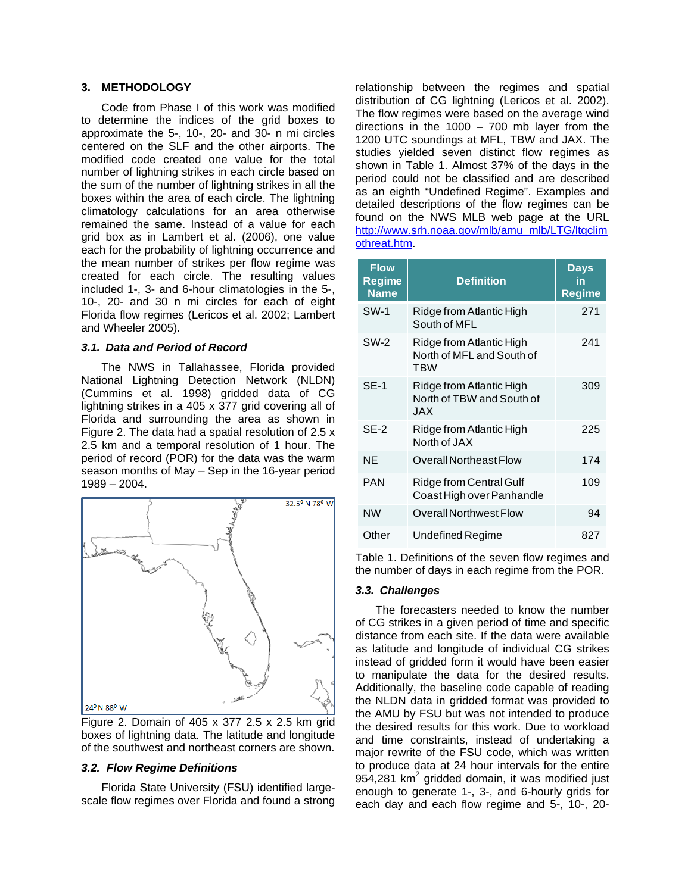# **3. METHODOLOGY**

Code from Phase I of this work was modified to determine the indices of the grid boxes to approximate the 5-, 10-, 20- and 30- n mi circles centered on the SLF and the other airports. The modified code created one value for the total number of lightning strikes in each circle based on the sum of the number of lightning strikes in all the boxes within the area of each circle. The lightning climatology calculations for an area otherwise remained the same. Instead of a value for each grid box as in Lambert et al. (2006), one value each for the probability of lightning occurrence and the mean number of strikes per flow regime was created for each circle. The resulting values included 1-, 3- and 6-hour climatologies in the 5-, 10-, 20- and 30 n mi circles for each of eight Florida flow regimes (Lericos et al. 2002; Lambert and Wheeler 2005).

### *3.1. Data and Period of Record*

The NWS in Tallahassee, Florida provided National Lightning Detection Network (NLDN) (Cummins et al. 1998) gridded data of CG lightning strikes in a 405 x 377 grid covering all of Florida and surrounding the area as shown in [Figure 2.](#page-1-0) The data had a spatial resolution of 2.5 x 2.5 km and a temporal resolution of 1 hour. The period of record (POR) for the data was the warm season months of May – Sep in the 16-year period 1989 – 2004.

<span id="page-1-1"></span>

<span id="page-1-0"></span>Figure 2. Domain of 405 x 377 2.5 x 2.5 km grid boxes of lightning data. The latitude and longitude of the southwest and northeast corners are shown.

## *3.2. Flow Regime Definitions*

Florida State University (FSU) identified largescale flow regimes over Florida and found a strong relationship between the regimes and spatial distribution of CG lightning (Lericos et al. 2002). The flow regimes were based on the average wind directions in the 1000  $-$  700 mb layer from the 1200 UTC soundings at MFL, TBW and JAX. The studies yielded seven distinct flow regimes as shown in [Table 1](#page-1-1). Almost 37% of the days in the period could not be classified and are described as an eighth "Undefined Regime". Examples and detailed descriptions of the flow regimes can be found on the NWS MLB web page at the URL [http://www.srh.noaa.gov/mlb/amu\\_mlb/LTG/ltgclim](http://www.srh.noaa.gov/mlb/amu_mlb/LTG/ltgclimothreat.htm) [othreat.htm.](http://www.srh.noaa.gov/mlb/amu_mlb/LTG/ltgclimothreat.htm)

| <b>Flow</b><br><b>Regime</b><br><b>Name</b> | <b>Definition</b>                                            | Days<br>in<br><b>Regime</b> |  |  |
|---------------------------------------------|--------------------------------------------------------------|-----------------------------|--|--|
| <b>SW-1</b>                                 | Ridge from Atlantic High<br>South of MFL                     | 271                         |  |  |
| <b>SW-2</b>                                 | Ridge from Atlantic High<br>North of MFL and South of<br>TBW | 241                         |  |  |
| <b>SE-1</b>                                 | Ridge from Atlantic High<br>North of TBW and South of<br>JAX | 309                         |  |  |
| $SE-2$                                      | Ridge from Atlantic High<br>North of JAX                     | 225                         |  |  |
| <b>NE</b>                                   | Overall Northeast Flow                                       | 174                         |  |  |
| <b>PAN</b>                                  | Ridge from Central Gulf<br>Coast High over Panhandle         | 109                         |  |  |
| <b>NW</b>                                   | Overall Northwest Flow                                       | 94                          |  |  |
| Other                                       | Undefined Regime                                             | 827                         |  |  |

Table 1. Definitions of the seven flow regimes and the number of days in each regime from the POR.

## *3.3. Challenges*

The forecasters needed to know the number of CG strikes in a given period of time and specific distance from each site. If the data were available as latitude and longitude of individual CG strikes instead of gridded form it would have been easier to manipulate the data for the desired results. Additionally, the baseline code capable of reading the NLDN data in gridded format was provided to the AMU by FSU but was not intended to produce the desired results for this work. Due to workload and time constraints, instead of undertaking a major rewrite of the FSU code, which was written to produce data at 24 hour intervals for the entire 954,281 km<sup>2</sup> gridded domain, it was modified just enough to generate 1-, 3-, and 6-hourly grids for each day and each flow regime and 5-, 10-, 20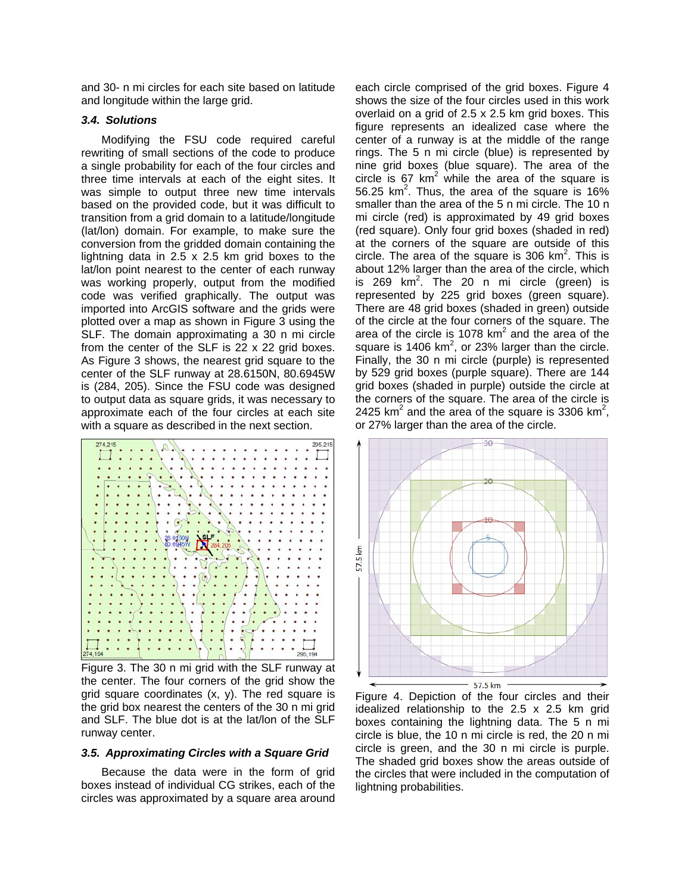and 30- n mi circles for each site based on latitude and longitude within the large grid.

## *3.4. Solutions*

Modifying the FSU code required careful rewriting of small sections of the code to produce a single probability for each of the four circles and three time intervals at each of the eight sites. It was simple to output three new time intervals based on the provided code, but it was difficult to transition from a grid domain to a latitude/longitude (lat/lon) domain. For example, to make sure the conversion from the gridded domain containing the lightning data in 2.5 x 2.5 km grid boxes to the lat/lon point nearest to the center of each runway was working properly, output from the modified code was verified graphically. The output was imported into ArcGIS software and the grids were plotted over a map as shown in [Figure 3](#page-2-0) using the SLF. The domain approximating a 30 n mi circle from the center of the SLF is  $22 \times 22$  grid boxes. As [Figure 3](#page-2-0) shows, the nearest grid square to the center of the SLF runway at 28.6150N, 80.6945W is (284, 205). Since the FSU code was designed to output data as square grids, it was necessary to approximate each of the four circles at each site with a square as described in the next section.



<span id="page-2-1"></span><span id="page-2-0"></span>Figure 3. The 30 n mi grid with the SLF runway at the center. The four corners of the grid show the grid square coordinates (x, y). The red square is the grid box nearest the centers of the 30 n mi grid and SLF. The blue dot is at the lat/lon of the SLF runway center.

#### *3.5. Approximating Circles with a Square Grid*

Because the data were in the form of grid boxes instead of individual CG strikes, each of the circles was approximated by a square area around each circle comprised of the grid boxes. [Figure 4](#page-2-1) shows the size of the four circles used in this work overlaid on a grid of 2.5 x 2.5 km grid boxes. This figure represents an idealized case where the center of a runway is at the middle of the range rings. The 5 n mi circle (blue) is represented by nine grid boxes (blue square). The area of the circle is 67  $km^2$  while the area of the square is 56.25 km<sup>2</sup>. Thus, the area of the square is 16% smaller than the area of the 5 n mi circle. The 10 n mi circle (red) is approximated by 49 grid boxes (red square). Only four grid boxes (shaded in red) at the corners of the square are outside of this circle. The area of the square is 306  $km^2$ . This is about 12% larger than the area of the circle, which is 269 km<sup>2</sup>. The 20 n mi circle (green) is represented by 225 grid boxes (green square). There are 48 grid boxes (shaded in green) outside of the circle at the four corners of the square. The area of the circle is 1078  $km^2$  and the area of the square is 1406  $km^2$ , or 23% larger than the circle. Finally, the 30 n mi circle (purple) is represented by 529 grid boxes (purple square). There are 144 grid boxes (shaded in purple) outside the circle at the corners of the square. The area of the circle is 2425 km<sup>2</sup> and the area of the square is 3306 km<sup>2</sup>, or 27% larger than the area of the circle.



Figure 4. Depiction of the four circles and their idealized relationship to the 2.5 x 2.5 km grid boxes containing the lightning data. The 5 n mi circle is blue, the 10 n mi circle is red, the 20 n mi circle is green, and the 30 n mi circle is purple. The shaded grid boxes show the areas outside of the circles that were included in the computation of lightning probabilities.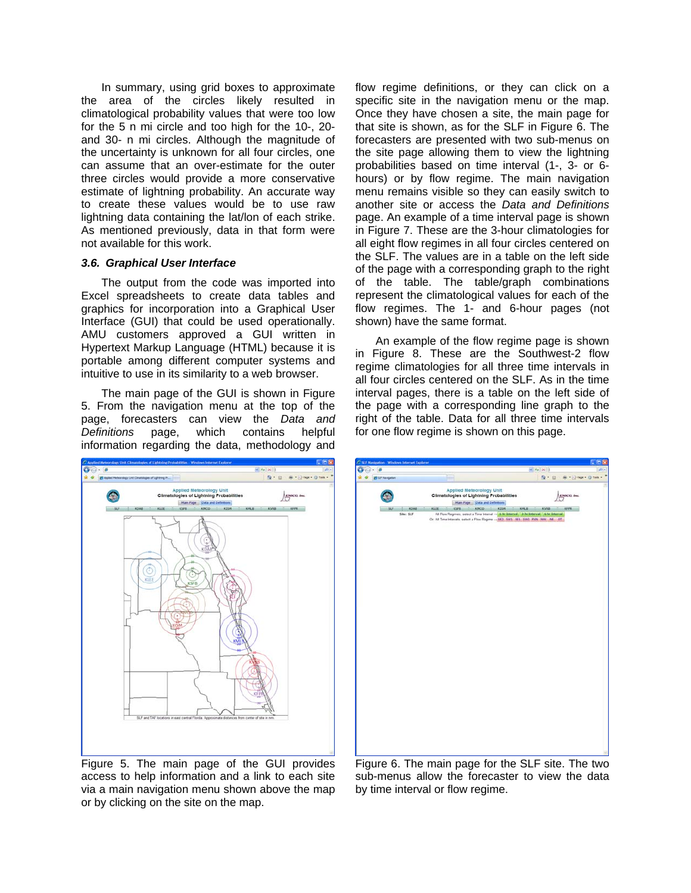In summary, using grid boxes to approximate the area of the circles likely resulted in climatological probability values that were too low for the 5 n mi circle and too high for the 10-, 20 and 30- n mi circles. Although the magnitude of the uncertainty is unknown for all four circles, one can assume that an over-estimate for the outer three circles would provide a more conservative estimate of lightning probability. An accurate way to create these values would be to use raw lightning data containing the lat/lon of each strike. As mentioned previously, data in that form were not available for this work.

### *3.6. Graphical User Interface*

The output from the code was imported into Excel spreadsheets to create data tables and graphics for incorporation into a Graphical User Interface (GUI) that could be used operationally. AMU customers approved a GUI written in Hypertext Markup Language (HTML) because it is portable among different computer systems and intuitive to use in its similarity to a web browser.

The main page of the GUI is shown in [Figure](#page-3-0)  [5.](#page-3-0) From the navigation menu at the top of the page, forecasters can view the *Data and Definitions* page, which contains helpful information regarding the data, methodology and



<span id="page-3-0"></span>Figure 5. The main page of the GUI provides access to help information and a link to each site via a main navigation menu shown above the map or by clicking on the site on the map.

flow regime definitions, or they can click on a specific site in the navigation menu or the map. Once they have chosen a site, the main page for that site is shown, as for the SLF in [Figure 6.](#page-3-0) The forecasters are presented with two sub-menus on the site page allowing them to view the lightning probabilities based on time interval (1-, 3- or 6 hours) or by flow regime. The main navigation menu remains visible so they can easily switch to another site or access the *Data and Definitions* page. An example of a time interval page is shown in [Figure 7](#page-4-0). These are the 3-hour climatologies for all eight flow regimes in all four circles centered on the SLF. The values are in a table on the left side of the page with a corresponding graph to the right of the table. The table/graph combinations represent the climatological values for each of the flow regimes. The 1- and 6-hour pages (not shown) have the same format.

An example of the flow regime page is shown in [Figure 8](#page-4-0). These are the Southwest-2 flow regime climatologies for all three time intervals in all four circles centered on the SLF. As in the time interval pages, there is a table on the left side of the page with a corresponding line graph to the right of the table. Data for all three time intervals for one flow regime is shown on this page.

| C. SLE Navigation - Windows Internet Explorer |                                                                                                                      |                                                                             |      |                                                                                                     |       |       |              |                               | <b>E</b> io  |  |
|-----------------------------------------------|----------------------------------------------------------------------------------------------------------------------|-----------------------------------------------------------------------------|------|-----------------------------------------------------------------------------------------------------|-------|-------|--------------|-------------------------------|--------------|--|
| ø                                             |                                                                                                                      |                                                                             |      |                                                                                                     |       |       | $-4 × 1$     |                               | $\mathbf{p}$ |  |
| <b>25 10 hangebor</b>                         |                                                                                                                      | m                                                                           |      |                                                                                                     |       |       |              | Q · □ · ※ · ⊙ Page · □ Took · |              |  |
|                                               | <b>Applied Meteorology Unit</b><br><b>Climatologies of Lightning Probabilities</b><br>Main Page Data and Definitions |                                                                             |      |                                                                                                     |       |       | ENSCO, Inc.  |                               |              |  |
| <b>HF</b>                                     | KDAG.<br>Site: SLF                                                                                                   | KLEE-                                                                       | KSFB | KNCO<br>All Flow Regimes, select a Time Interval - 1-for Interval   1-for Interval   6-for Interval | KISM. | KNLB. | <b>KVRIB</b> | KFPR.                         |              |  |
|                                               |                                                                                                                      | Or. All Time Intervals, select a Flow Regime - 562 SW1 561 SW2 PAN NW NE OT |      |                                                                                                     |       |       |              |                               |              |  |
|                                               |                                                                                                                      |                                                                             |      |                                                                                                     |       |       |              |                               |              |  |

Figure 6. The main page for the SLF site. The two sub-menus allow the forecaster to view the data by time interval or flow regime.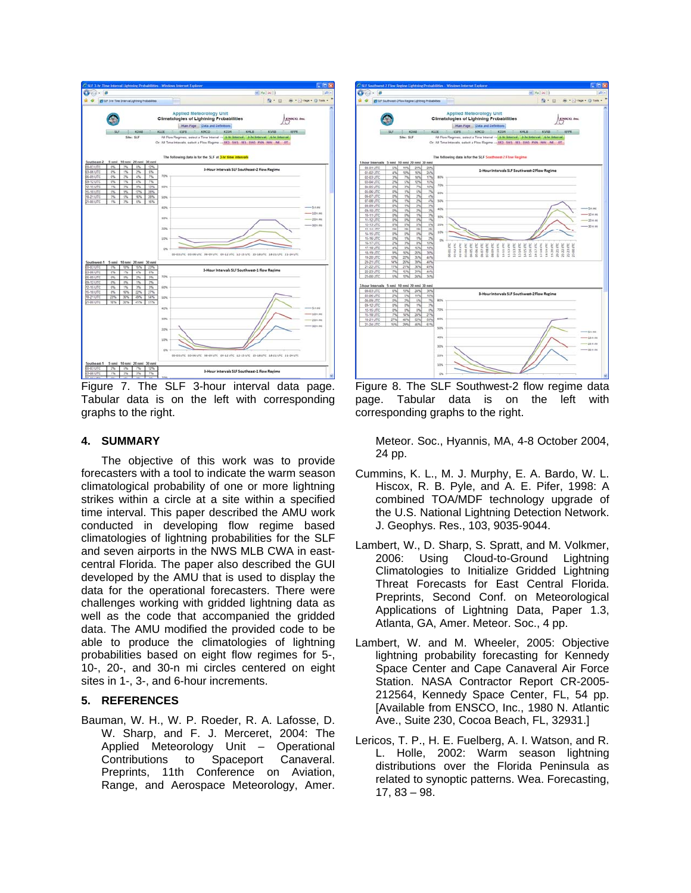

<span id="page-4-0"></span>Figure 7. The SLF 3-hour interval data page. Tabular data is on the left with corresponding graphs to the right.

#### **4. SUMMARY**

The objective of this work was to provide forecasters with a tool to indicate the warm season climatological probability of one or more lightning strikes within a circle at a site within a specified time interval. This paper described the AMU work conducted in developing flow regime based climatologies of lightning probabilities for the SLF and seven airports in the NWS MLB CWA in eastcentral Florida. The paper also described the GUI developed by the AMU that is used to display the data for the operational forecasters. There were challenges working with gridded lightning data as well as the code that accompanied the gridded data. The AMU modified the provided code to be able to produce the climatologies of lightning probabilities based on eight flow regimes for 5-, 10-, 20-, and 30-n mi circles centered on eight sites in 1-, 3-, and 6-hour increments.

# **5. REFERENCES**

Bauman, W. H., W. P. Roeder, R. A. Lafosse, D. W. Sharp, and F. J. Merceret, 2004: The Applied Meteorology Unit – Operational Contributions to Spaceport Canaveral. Preprints, 11th Conference on Aviation, Range, and Aerospace Meteorology, Amer.



Figure 8. The SLF Southwest-2 flow regime data page. Tabular data is on the left with corresponding graphs to the right.

Meteor. Soc., Hyannis, MA, 4-8 October 2004, 24 pp.

- Cummins, K. L., M. J. Murphy, E. A. Bardo, W. L. Hiscox, R. B. Pyle, and A. E. Pifer, 1998: A combined TOA/MDF technology upgrade of the U.S. National Lightning Detection Network. J. Geophys. Res., 103, 9035-9044.
- Lambert, W., D. Sharp, S. Spratt, and M. Volkmer, 2006: Using Cloud-to-Ground Lightning Climatologies to Initialize Gridded Lightning Threat Forecasts for East Central Florida. Preprints, Second Conf. on Meteorological Applications of Lightning Data, Paper 1.3, Atlanta, GA, Amer. Meteor. Soc., 4 pp.
- Lambert, W. and M. Wheeler, 2005: Objective lightning probability forecasting for Kennedy Space Center and Cape Canaveral Air Force Station. NASA Contractor Report CR-2005- 212564, Kennedy Space Center, FL, 54 pp. [Available from ENSCO, Inc., 1980 N. Atlantic Ave., Suite 230, Cocoa Beach, FL, 32931.]
- Lericos, T. P., H. E. Fuelberg, A. I. Watson, and R. L. Holle, 2002: Warm season lightning distributions over the Florida Peninsula as related to synoptic patterns. Wea. Forecasting, 17, 83 – 98.